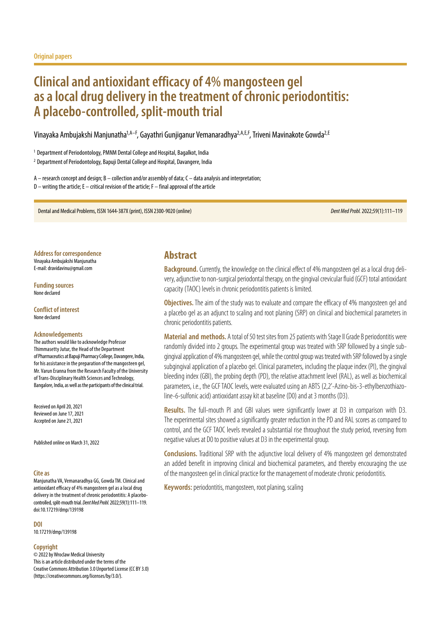# **Clinical and antioxidant efficacy of 4% mangosteen gel as a local drug delivery in the treatment of chronic periodontitis: A placebo-controlled, split-mouth trial**

Vinayaka Ambujakshi Manjunatha1,A–F, Gayathri Gunjiganur Vemanaradhya2,A,E,F, Triveni Mavinakote Gowda2,E

<sup>1</sup> Department of Periodontology, PMNM Dental College and Hospital, Bagalkot, India <sup>2</sup> Department of Periodontology, Bapuji Dental College and Hospital, Davangere, India

 $A$  – research concept and design; B – collection and/or assembly of data; C – data analysis and interpretation;  $D$  – writing the article; E – critical revision of the article; F – final approval of the article

Dental and Medical Problems, ISSN 1644-387X (print), ISSN 2300-9020 (online) *Dent Med Probl.* 2022;59(1):111–119

**Address for correspondence** Vinayaka Ambujakshi Manjunatha

E-mail: dravidavinu@gmail.com

**Funding sources** None declared

**Conflict of interest** None declared

#### **Acknowledgements**

The authors would like to acknowledge Professor Thimmasetty Jutur, the Head of the Department of Pharmaceutics at Bapuji Pharmacy College, Davangere, India, for his assistance in the preparation of the mangosteen gel, Mr. Varun Eranna from the Research Faculty of the University of Trans-Disciplinary Health Sciences and Technology, Bangalore, India, as well as the participants of the clinical trial.

Received on April 20, 2021 Reviewed on June 17, 2021 Accepted on June 21, 2021

Published online on March 31, 2022

#### **Cite as**

Manjunatha VA, Vemanaradhya GG, Gowda TM. Clinical and antioxidant efficacy of 4% mangosteen gel as a local drug delivery in the treatment of chronic periodontitis: A placebocontrolled, split-mouth trial. *Dent Med Probl.* 2022;59(1):111–119. doi:10.17219/dmp/139198

**DOI**

10.17219/dmp/139198

#### **Copyright**

© 2022 by Wroclaw Medical University This is an article distributed under the terms of the Creative Commons Attribution 3.0 Unported License (CC BY 3.0) [\(https://creativecommons.org/licenses/by/3.0/\)](https://creativecommons.org/licenses/by/3.0/).

# **Abstract**

**Background.** Currently, the knowledge on the clinical effect of 4% mangosteen gel as a local drug delivery, adjunctive to non-surgical periodontal therapy, on the gingival crevicular fluid (GCF) total antioxidant capacity (TAOC) levels in chronic periodontitis patients is limited.

**Objectives.** The aim of the study was to evaluate and compare the efficacy of 4% mangosteen gel and a placebo gel as an adjunct to scaling and root planing (SRP) on clinical and biochemical parameters in chronic periodontitis patients.

**Material and methods.** A total of 50 test sites from 25 patients with Stage II Grade B periodontitis were randomly divided into 2 groups. The experimental group was treated with SRP followed by a single subgingival application of 4% mangosteen gel, while the control group was treated with SRP followed by a single subgingival application of a placebo gel. Clinical parameters, including the plaque index (PI), the gingival bleeding index (GBI), the probing depth (PD), the relative attachment level (RAL), as well as biochemical parameters, i.e., the GCF TAOC levels, were evaluated using an ABTS (2,2'-Azino-bis-3-ethylbenzothiazoline-6-sulfonic acid) antioxidant assay kit at baseline (D0) and at 3 months (D3).

**Results.** The full-mouth PI and GBI values were significantly lower at D3 in comparison with D3. The experimental sites showed a significantly greater reduction in the PD and RAL scores as compared to control, and the GCF TAOC levels revealed a substantial rise throughout the study period, reversing from negative values at D0 to positive values at D3 in the experimental group.

**Conclusions.** Traditional SRP with the adjunctive local delivery of 4% mangosteen gel demonstrated an added benefit in improving clinical and biochemical parameters, and thereby encouraging the use of the mangosteen gel in clinical practice for the management of moderate chronic periodontitis.

**Keywords:** periodontitis, mangosteen, root planing, scaling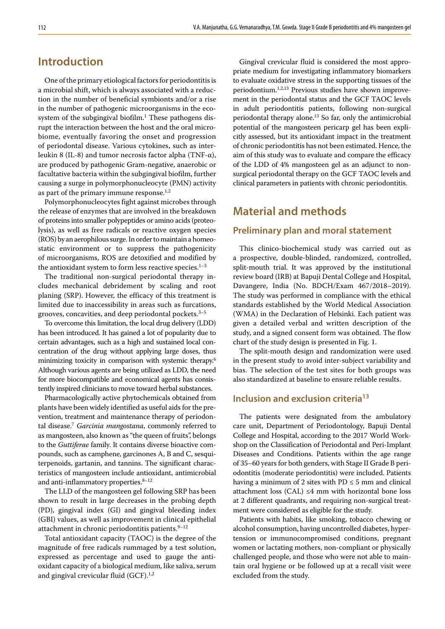# **Introduction**

One of the primary etiological factors for periodontitis is a microbial shift, which is always associated with a reduction in the number of beneficial symbionts and/or a rise in the number of pathogenic microorganisms in the ecosystem of the subgingival biofilm.<sup>1</sup> These pathogens disrupt the interaction between the host and the oral microbiome, eventually favoring the onset and progression of periodontal disease. Various cytokines, such as interleukin 8 (IL-8) and tumor necrosis factor alpha (TNF-α), are produced by pathogenic Gram-negative, anaerobic or facultative bacteria within the subgingival biofilm, further causing a surge in polymorphonucleocyte (PMN) activity as part of the primary immune response. $1,2$ 

Polymorphonucleocytes fight against microbes through the release of enzymes that are involved in the breakdown of proteins into smaller polypeptides or amino acids (proteolysis), as well as free radicals or reactive oxygen species (ROS) by an aerophilous surge. In order to maintain a homeostatic environment or to suppress the pathogenicity of microorganisms, ROS are detoxified and modified by the antioxidant system to form less reactive species. $1-3$ 

The traditional non-surgical periodontal therapy includes mechanical debridement by scaling and root planing (SRP). However, the efficacy of this treatment is limited due to inaccessibility in areas such as furcations, grooves, concavities, and deep periodontal pockets. $3-5$ 

To overcome this limitation, the local drug delivery (LDD) has been introduced. It has gained a lot of popularity due to certain advantages, such as a high and sustained local concentration of the drug without applying large doses, thus minimizing toxicity in comparison with systemic therapy.6 Although various agents are being utilized as LDD, the need for more biocompatible and economical agents has consistently inspired clinicians to move toward herbal substances.

Pharmacologically active phytochemicals obtained from plants have been widely identified as useful aids for the prevention, treatment and maintenance therapy of periodontal disease.7 *Garcinia mangostana*, commonly referred to as mangosteen, also known as "the queen of fruits", belongs to the *Guttiferae* family. It contains diverse bioactive compounds, such as camphene, garcinones A, B and C, sesquiterpenoids, gartanin, and tannins. The significant characteristics of mangosteen include antioxidant, antimicrobial and anti-inflammatory properties. $8-12$ 

The LLD of the mangosteen gel following SRP has been shown to result in large decreases in the probing depth (PD), gingival index (GI) and gingival bleeding index (GBI) values, as well as improvement in clinical epithelial attachment in chronic periodontitis patients. $9-12$ 

Total antioxidant capacity (TAOC) is the degree of the magnitude of free radicals rummaged by a test solution, expressed as percentage and used to gauge the antioxidant capacity of a biological medium, like saliva, serum and gingival crevicular fluid (GCF).<sup>1,2</sup>

Gingival crevicular fluid is considered the most appropriate medium for investigating inflammatory biomarkers to evaluate oxidative stress in the supporting tissues of the periodontium.1,2,13 Previous studies have shown improvement in the periodontal status and the GCF TAOC levels in adult periodontitis patients, following non-surgical periodontal therapy alone.13 So far, only the antimicrobial potential of the mangosteen pericarp gel has been explicitly assessed, but its antioxidant impact in the treatment of chronic periodontitis has not been estimated. Hence, the aim of this study was to evaluate and compare the efficacy of the LDD of 4% mangosteen gel as an adjunct to nonsurgical periodontal therapy on the GCF TAOC levels and clinical parameters in patients with chronic periodontitis.

# **Material and methods**

## **Preliminary plan and moral statement**

This clinico-biochemical study was carried out as a prospective, double-blinded, randomized, controlled, split-mouth trial. It was approved by the institutional review board (IRB) at Bapuji Dental College and Hospital, Davangere, India (No. BDCH/Exam 467/2018–2019). The study was performed in compliance with the ethical standards established by the World Medical Association (WMA) in the Declaration of Helsinki. Each patient was given a detailed verbal and written description of the study, and a signed consent form was obtained. The flow chart of the study design is presented in Fig. 1.

The split-mouth design and randomization were used in the present study to avoid inter-subject variability and bias. The selection of the test sites for both groups was also standardized at baseline to ensure reliable results.

# **Inclusion and exclusion criteria13**

The patients were designated from the ambulatory care unit, Department of Periodontology, Bapuji Dental College and Hospital, according to the 2017 World Workshop on the Classification of Periodontal and Peri-Implant Diseases and Conditions. Patients within the age range of 35–60 years for both genders, with Stage II Grade B periodontitis (moderate periodontitis) were included. Patients having a minimum of 2 sites with  $PD \le 5$  mm and clinical attachment loss (CAL)  $\leq 4$  mm with horizontal bone loss at 2 different quadrants, and requiring non-surgical treatment were considered as eligible for the study.

Patients with habits, like smoking, tobacco chewing or alcohol consumption, having uncontrolled diabetes, hypertension or immunocompromised conditions, pregnant women or lactating mothers, non-compliant or physically challenged people, and those who were not able to maintain oral hygiene or be followed up at a recall visit were excluded from the study.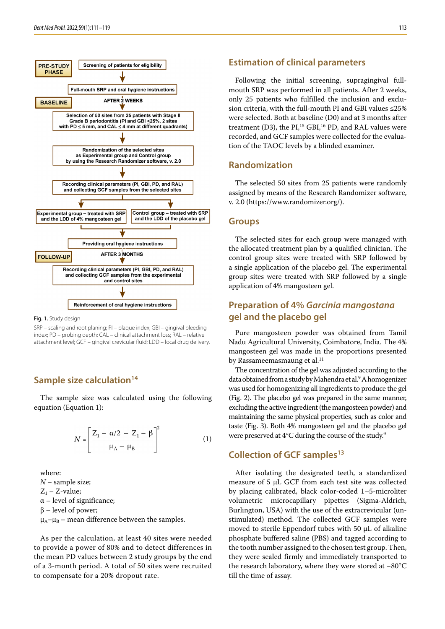

Fig. 1. Study design

SRP – scaling and root planing; PI – plaque index; GBI – gingival bleeding index; PD – probing depth; CAL – clinical attachment loss; RAL – relative attachment level; GCF – gingival crevicular fluid; LDD – local drug delivery.

# **Sample size calculation**<sup>14</sup>

The sample size was calculated using the following equation (Equation 1):

$$
N = \left[\frac{Z_1 - \alpha/2 + Z_1 - \beta}{\mu_A - \mu_B}\right]^2
$$
 (1)

where: *N* – sample size;  $Z_1$  – Z-value;  $\alpha$  – level of significance;  $β$  – level of power;

 $\mu_A-\mu_B$  – mean difference between the samples.

As per the calculation, at least 40 sites were needed to provide a power of 80% and to detect differences in the mean PD values between 2 study groups by the end of a 3-month period. A total of 50 sites were recruited to compensate for a 20% dropout rate.

### **Estimation of clinical parameters**

Following the initial screening, supragingival fullmouth SRP was performed in all patients. After 2 weeks, only 25 patients who fulfilled the inclusion and exclusion criteria, with the full-mouth PI and GBI values ≤25% were selected. Both at baseline (D0) and at 3 months after treatment (D3), the  $PI<sub>1</sub><sup>15</sup> GBI<sub>1</sub><sup>16</sup> PD$ , and RAL values were recorded, and GCF samples were collected for the evaluation of the TAOC levels by a blinded examiner.

### **Randomization**

The selected 50 sites from 25 patients were randomly assigned by means of the Research Randomizer software, v. 2.0 ([https://www.randomizer.org/\)](https://www.randomizer.org/).

#### **Groups**

The selected sites for each group were managed with the allocated treatment plan by a qualified clinician. The control group sites were treated with SRP followed by a single application of the placebo gel. The experimental group sites were treated with SRP followed by a single application of 4% mangosteen gel.

# **Preparation of 4%** *Garcinia mangostana* **gel and the placebo gel**

Pure mangosteen powder was obtained from Tamil Nadu Agricultural University, Coimbatore, India. The 4% mangosteen gel was made in the proportions presented by Rassameemasmaung et al.<sup>11</sup>

The concentration of the gel was adjusted according to the data obtained from a study by Mahendra et al.<sup>9</sup> A homogenizer was used for homogenizing all ingredients to produce the gel (Fig. 2). The placebo gel was prepared in the same manner, excluding the active ingredient (the mangosteen powder) and maintaining the same physical properties, such as color and taste (Fig. 3). Both 4% mangosteen gel and the placebo gel were preserved at 4°C during the course of the study.9

# **Collection of GCF samples13**

After isolating the designated teeth, a standardized measure of 5 μL GCF from each test site was collected by placing calibrated, black color-coded 1–5-microliter volumetric microcapillary pipettes (Sigma-Aldrich, Burlington, USA) with the use of the extracrevicular (unstimulated) method. The collected GCF samples were moved to sterile Eppendorf tubes with 50 μL of alkaline phosphate buffered saline (PBS) and tagged according to the tooth number assigned to the chosen test group. Then, they were sealed firmly and immediately transported to the research laboratory, where they were stored at −80°C till the time of assay.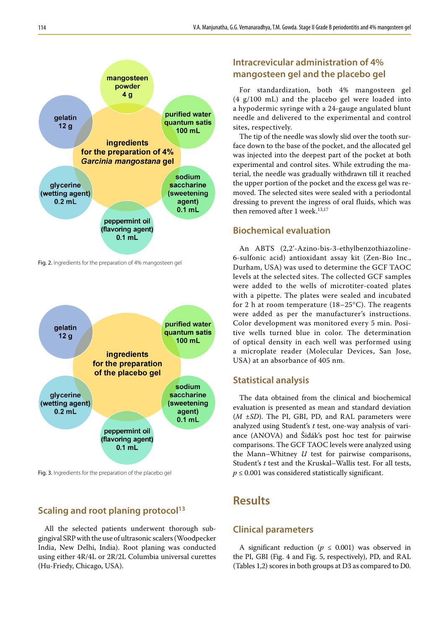

Fig. 2. Ingredients for the preparation of 4% mangosteen gel



Fig. 3. Ingredients for the preparation of the placebo gel

# **Scaling and root planing protocol<sup>13</sup>**

All the selected patients underwent thorough subgingival SRP with the use of ultrasonic scalers (Woodpecker India, New Delhi, India). Root planing was conducted using either 4R/4L or 2R/2L Columbia universal curettes (Hu-Friedy, Chicago, USA).

# **Intracrevicular administration of 4% mangosteen gel and the placebo gel**

For standardization, both 4% mangosteen gel (4 g/100 mL) and the placebo gel were loaded into a hypodermic syringe with a 24-gauge angulated blunt needle and delivered to the experimental and control sites, respectively.

The tip of the needle was slowly slid over the tooth surface down to the base of the pocket, and the allocated gel was injected into the deepest part of the pocket at both experimental and control sites. While extruding the material, the needle was gradually withdrawn till it reached the upper portion of the pocket and the excess gel was removed. The selected sites were sealed with a periodontal dressing to prevent the ingress of oral fluids, which was then removed after 1 week.<sup>13,17</sup>

# **Biochemical evaluation**

An ABTS (2,2'-Azino-bis-3-ethylbenzothiazoline-6-sulfonic acid) antioxidant assay kit (Zen-Bio Inc., Durham, USA) was used to determine the GCF TAOC levels at the selected sites. The collected GCF samples were added to the wells of microtiter-coated plates with a pipette. The plates were sealed and incubated for 2 h at room temperature (18–25°C). The reagents were added as per the manufacturer's instructions. Color development was monitored every 5 min. Positive wells turned blue in color. The determination of optical density in each well was performed using a microplate reader (Molecular Devices, San Jose, USA) at an absorbance of 405 nm.

## **Statistical analysis**

The data obtained from the clinical and biochemical evaluation is presented as mean and standard deviation (*M* ±*SD*). The PI, GBI, PD, and RAL parameters were analyzed using Student's *t* test, one-way analysis of variance (ANOVA) and Šidák's post hoc test for pairwise comparisons. The GCF TAOC levels were analyzed using the Mann–Whitney *U* test for pairwise comparisons, Student's *t* test and the Kruskal–Wallis test. For all tests,  $p \leq 0.001$  was considered statistically significant.

# **Results**

# **Clinical parameters**

A significant reduction ( $p \leq 0.001$ ) was observed in the PI, GBI (Fig. 4 and Fig. 5, respectively), PD, and RAL (Tables 1,2) scores in both groups at D3 as compared to D0.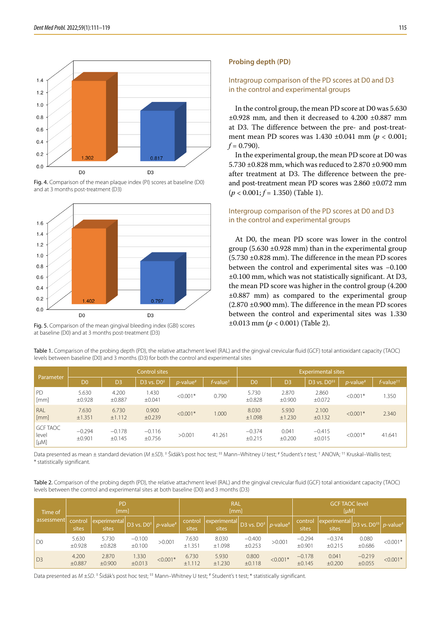





Fig. 5. Comparison of the mean gingival bleeding index (GBI) scores at baseline (D0) and at 3 months post-treatment (D3)

#### **Probing depth (PD)**

#### Intragroup comparison of the PD scores at D0 and D3 in the control and experimental groups

In the control group, the mean PD score at D0 was 5.630 ±0.928 mm, and then it decreased to 4.200 ±0.887 mm at D3. The difference between the pre- and post-treatment mean PD scores was 1.430 ±0.041 mm (*p* < 0.001;  $f = 0.790$ .

In the experimental group, the mean PD score at D0 was 5.730 ±0.828 mm, which was reduced to 2.870 ±0.900 mm after treatment at D3. The difference between the preand post-treatment mean PD scores was 2.860 ±0.072 mm (*p* < 0.001; *f* = 1.350) (Table 1).

### Intergroup comparison of the PD scores at D0 and D3 in the control and experimental groups

At D0, the mean PD score was lower in the control group (5.630  $\pm$ 0.928 mm) than in the experimental group (5.730 ±0.828 mm). The difference in the mean PD scores between the control and experimental sites was −0.100 ±0.100 mm, which was not statistically significant. At D3, the mean PD score was higher in the control group (4.200 ±0.887 mm) as compared to the experimental group (2.870 ±0.900 mm). The difference in the mean PD scores between the control and experimental sites was 1.330 ±0.013 mm (*p* < 0.001) (Table 2).

| Table 1. Comparison of the probing depth (PD), the relative attachment level (RAL) and the gingival crevicular fluid (GCF) total antioxidant capacity (TAOC) |  |
|--------------------------------------------------------------------------------------------------------------------------------------------------------------|--|
| levels between baseline (D0) and 3 months (D3) for both the control and experimental sites                                                                   |  |

| Parameter                             |                    |                    | <b>Control sites</b> |                              |                      | <b>Experimental sites</b> |                 |                    |                         |                                             |  |
|---------------------------------------|--------------------|--------------------|----------------------|------------------------------|----------------------|---------------------------|-----------------|--------------------|-------------------------|---------------------------------------------|--|
|                                       | D <sub>0</sub>     | D <sub>3</sub>     | D3 vs. $D0^+$        | <i>p</i> -value <sup>#</sup> | f-value <sup>†</sup> | D <sub>0</sub>            | D <sub>3</sub>  | D3 vs. $DO++$      | $p$ -value <sup>#</sup> | $f$ -value <sup><math>\dagger</math>†</sup> |  |
| PD<br>[mm]                            | 5.630<br>±0.928    | 4.200<br>±0.887    | 1.430<br>±0.041      | $< 0.001*$                   | 0.790                | 5.730<br>±0.828           | 2.870<br>±0.900 | 2.860<br>±0.072    | $< 0.001*$              | .350                                        |  |
| RAL<br>[mm]                           | 7.630<br>±1.351    | 6.730<br>±1.112    | 0.900<br>±0.239      | $< 0.001*$                   | 1.000                | 8.030<br>±1.098           | 5.930<br>±1.230 | 2.100<br>±0.132    | $< 0.001*$              | 2.340                                       |  |
| <b>GCF TAOC</b><br>level<br>$[\mu M]$ | $-0.294$<br>±0.901 | $-0.178$<br>±0.145 | $-0.116$<br>±0.756   | >0.001                       | 41.261               | $-0.374$<br>±0.215        | 0.041<br>±0.200 | $-0.415$<br>±0.015 | $< 0.001*$              | 41.641                                      |  |

Data presented as mean ± standard deviation (*M* ±*SD*). <sup>‡</sup> Šidák's post hoc test; <sup>‡†</sup> Mann–Whitney *U* test; <sup>#</sup> Student's *t* test; † ANOVA; <sup>††</sup> Kruskal–Wallis test; \* statistically significant.

Table 2. Comparison of the probing depth (PD), the relative attachment level (RAL) and the gingival crevicular fluid (GCF) total antioxidant capacity (TAOC) levels between the control and experimental sites at both baseline (D0) and 3 months (D3)

| Time of<br>assessment | <b>PD</b><br>[mm] |                       |                                             |            | <b>RAL</b><br>[mm] |                       |                                             |            | <b>GCF TAOC level</b><br>[ $\mu$ M] |                                                                               |                    |            |
|-----------------------|-------------------|-----------------------|---------------------------------------------|------------|--------------------|-----------------------|---------------------------------------------|------------|-------------------------------------|-------------------------------------------------------------------------------|--------------------|------------|
|                       | control<br>sites  | experimental<br>sites | D3 vs. $D0^{\ddagger}$ p-value <sup>#</sup> |            | control<br>sites   | experimental<br>sites | D3 vs. $D0^{\ddagger}$ p-value <sup>#</sup> |            | control<br>sites                    | experimental $\vert$ D3 vs. D0 <sup>‡‡</sup> $p$ -value <sup>#</sup><br>sites |                    |            |
| D <sub>0</sub>        | 5.630<br>±0.928   | 5.730<br>±0.828       | $-0.100$<br>±0.100                          | >0.001     | 7.630<br>±1.351    | 8.030<br>±1.098       | $-0.400$<br>±0.253                          | >0.001     | $-0.294$<br>±0.901                  | $-0.374$<br>±0.215                                                            | 0.080<br>±0.686    | $< 0.001*$ |
| D3                    | 4.200<br>±0.887   | 2.870<br>$\pm 0.900$  | 1.330<br>±0.013                             | $< 0.001*$ | 6.730<br>±1.112    | 5.930<br>±1.230       | 0.800<br>±0.118                             | $< 0.001*$ | $-0.178$<br>±0.145                  | 0.041<br>±0.200                                                               | $-0.219$<br>±0.055 | $< 0.001*$ |

Data presented as *M* ±SD. <sup>‡</sup> Šidák's post hoc test; <sup>‡‡</sup> Mann–Whitney U test; <sup>#</sup> Student's t test; \* statistically significant.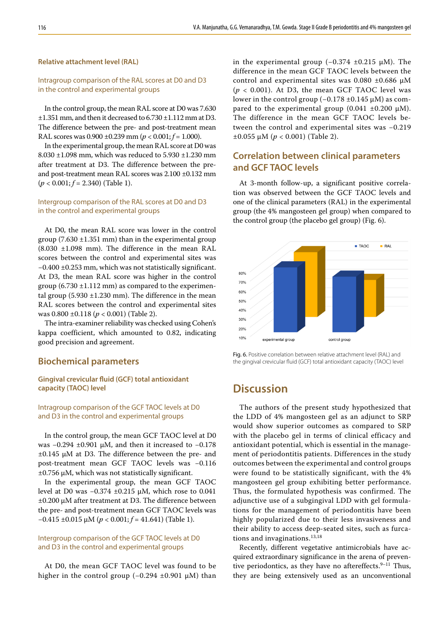#### **Relative attachment level (RAL)**

#### Intragroup comparison of the RAL scores at D0 and D3 in the control and experimental groups

In the control group, the mean RAL score at D0 was 7.630  $\pm 1.351$  mm, and then it decreased to  $6.730 \pm 1.112$  mm at D3. The difference between the pre- and post-treatment mean RAL scores was 0.900 ±0.239 mm (*p* < 0.001; *f* = 1.000).

In the experimental group, the mean RAL score at D0 was 8.030 ±1.098 mm, which was reduced to 5.930 ±1.230 mm after treatment at D3. The difference between the preand post-treatment mean RAL scores was 2.100 ±0.132 mm (*p* < 0.001; *f* = 2.340) (Table 1).

### Intergroup comparison of the RAL scores at D0 and D3 in the control and experimental groups

At D0, the mean RAL score was lower in the control group (7.630  $\pm$ 1.351 mm) than in the experimental group (8.030 ±1.098 mm). The difference in the mean RAL scores between the control and experimental sites was −0.400 ±0.253 mm, which was not statistically significant. At D3, the mean RAL score was higher in the control group  $(6.730 \pm 1.112 \text{ mm})$  as compared to the experimental group  $(5.930 \pm 1.230 \text{ mm})$ . The difference in the mean RAL scores between the control and experimental sites was 0.800 ±0.118 (*p* < 0.001) (Table 2).

The intra-examiner reliability was checked using Cohen's kappa coefficient, which amounted to 0.82, indicating good precision and agreement.

### **Biochemical parameters**

### **Gingival crevicular fluid (GCF) total antioxidant capacity (TAOC) level**

#### Intragroup comparison of the GCF TAOC levels at D0 and D3 in the control and experimental groups

In the control group, the mean GCF TAOC level at D0 was −0.294 ±0.901 μM, and then it increased to −0.178 ±0.145 μM at D3. The difference between the pre- and post-treatment mean GCF TAOC levels was −0.116 ±0.756 μM, which was not statistically significant.

In the experimental group, the mean GCF TAOC level at D0 was −0.374 ±0.215 μM, which rose to 0.041 ±0.200 μM after treatment at D3. The difference between the pre- and post-treatment mean GCF TAOC levels was −0.415 ±0.015 μM (*p* < 0.001; *f* = 41.641) (Table 1).

### Intergroup comparison of the GCF TAOC levels at D0 and D3 in the control and experimental groups

At D0, the mean GCF TAOC level was found to be higher in the control group (−0.294 ±0.901 μM) than in the experimental group  $(-0.374 \pm 0.215 \mu M)$ . The difference in the mean GCF TAOC levels between the control and experimental sites was  $0.080 \pm 0.686$   $\mu$ M  $(p < 0.001)$ . At D3, the mean GCF TAOC level was lower in the control group (−0.178 ±0.145 μM) as compared to the experimental group  $(0.041 \pm 0.200 \mu M)$ . The difference in the mean GCF TAOC levels between the control and experimental sites was −0.219  $±0.055$  μM (*p* < 0.001) (Table 2).

# **Correlation between clinical parameters and GCF TAOC levels**

At 3-month follow-up, a significant positive correlation was observed between the GCF TAOC levels and one of the clinical parameters (RAL) in the experimental group (the 4% mangosteen gel group) when compared to the control group (the placebo gel group) (Fig. 6).



Fig. 6. Positive correlation between relative attachment level (RAL) and the gingival crevicular fluid (GCF) total antioxidant capacity (TAOC) level

# **Discussion**

The authors of the present study hypothesized that the LDD of 4% mangosteen gel as an adjunct to SRP would show superior outcomes as compared to SRP with the placebo gel in terms of clinical efficacy and antioxidant potential, which is essential in the management of periodontitis patients. Differences in the study outcomes between the experimental and control groups were found to be statistically significant, with the 4% mangosteen gel group exhibiting better performance. Thus, the formulated hypothesis was confirmed. The adjunctive use of a subgingival LDD with gel formulations for the management of periodontitis have been highly popularized due to their less invasiveness and their ability to access deep-seated sites, such as furcations and invaginations.<sup>13,18</sup>

Recently, different vegetative antimicrobials have acquired extraordinary significance in the arena of preventive periodontics, as they have no aftereffects. $9-11$  Thus, they are being extensively used as an unconventional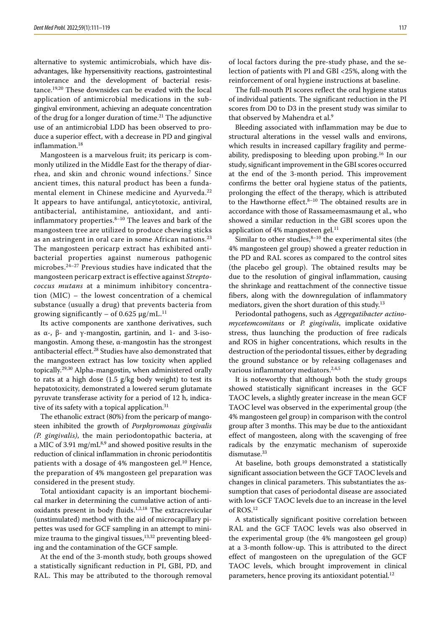alternative to systemic antimicrobials, which have disadvantages, like hypersensitivity reactions, gastrointestinal intolerance and the development of bacterial resistance.19,20 These downsides can be evaded with the local application of antimicrobial medications in the subgingival environment, achieving an adequate concentration of the drug for a longer duration of time.<sup>21</sup> The adjunctive use of an antimicrobial LDD has been observed to produce a superior effect, with a decrease in PD and gingival inflammation.<sup>18</sup>

Mangosteen is a marvelous fruit; its pericarp is commonly utilized in the Middle East for the therapy of diarrhea, and skin and chronic wound infections.7 Since ancient times, this natural product has been a fundamental element in Chinese medicine and Ayurveda.<sup>22</sup> It appears to have antifungal, anticytotoxic, antiviral, antibacterial, antihistamine, antioxidant, and antiinflammatory properties. $8-10$  The leaves and bark of the mangosteen tree are utilized to produce chewing sticks as an astringent in oral care in some African nations.<sup>23</sup> The mangosteen pericarp extract has exhibited antibacterial properties against numerous pathogenic microbes.24–27 Previous studies have indicated that the mangosteen pericarp extract is effective against *Streptococcus mutans* at a minimum inhibitory concentration (MIC) – the lowest concentration of a chemical substance (usually a drug) that prevents bacteria from growing significantly – of 0.625  $\mu$ g/mL.<sup>11</sup>

Its active components are xanthone derivatives, such as α-, β- and γ-mangostin, gartinin, and 1- and 3-isomangostin. Among these, α-mangostin has the strongest antibacterial effect.<sup>28</sup> Studies have also demonstrated that the mangosteen extract has low toxicity when applied topically.29,30 Alpha-mangostin, when administered orally to rats at a high dose (1.5 g/kg body weight) to test its hepatotoxicity, demonstrated a lowered serum glutamate pyruvate transferase activity for a period of 12 h, indicative of its safety with a topical application.<sup>31</sup>

The ethanolic extract (80%) from the pericarp of mangosteen inhibited the growth of *Porphyromonas gingivalis (P. gingivalis)*, the main periodontopathic bacteria, at a MIC of 3.91 mg/mL<sup>8,9</sup> and showed positive results in the reduction of clinical inflammation in chronic periodontitis patients with a dosage of 4% mangosteen gel.<sup>10</sup> Hence, the preparation of 4% mangosteen gel preparation was considered in the present study.

Total antioxidant capacity is an important biochemical marker in determining the cumulative action of antioxidants present in body fluids.<sup>1,2,18</sup> The extracrevicular (unstimulated) method with the aid of microcapillary pipettes was used for GCF sampling in an attempt to minimize trauma to the gingival tissues,  $13,32$  preventing bleeding and the contamination of the GCF sample.

At the end of the 3-month study, both groups showed a statistically significant reduction in PI, GBI, PD, and RAL. This may be attributed to the thorough removal of local factors during the pre-study phase, and the selection of patients with PI and GBI <25%, along with the reinforcement of oral hygiene instructions at baseline.

The full-mouth PI scores reflect the oral hygiene status of individual patients. The significant reduction in the PI scores from D0 to D3 in the present study was similar to that observed by Mahendra et al.<sup>9</sup>

Bleeding associated with inflammation may be due to structural alterations in the vessel walls and environs, which results in increased capillary fragility and permeability, predisposing to bleeding upon probing.16 In our study, significant improvement in the GBI scores occurred at the end of the 3-month period. This improvement confirms the better oral hygiene status of the patients, prolonging the effect of the therapy, which is attributed to the Hawthorne effect.<sup>8-10</sup> The obtained results are in accordance with those of Rassameemasmaung et al., who showed a similar reduction in the GBI scores upon the application of 4% mangosteen gel.<sup>11</sup>

Similar to other studies, $8-10$  the experimental sites (the 4% mangosteen gel group) showed a greater reduction in the PD and RAL scores as compared to the control sites (the placebo gel group). The obtained results may be due to the resolution of gingival inflammation, causing the shrinkage and reattachment of the connective tissue fibers, along with the downregulation of inflammatory mediators, given the short duration of this study.<sup>13</sup>

Periodontal pathogens, such as *Aggregatibacter actinomycetemcomitans* or *P. gingivalis*, implicate oxidative stress, thus launching the production of free radicals and ROS in higher concentrations, which results in the destruction of the periodontal tissues, either by degrading the ground substance or by releasing collagenases and various inflammatory mediators.<sup>2,4,5</sup>

It is noteworthy that although both the study groups showed statistically significant increases in the GCF TAOC levels, a slightly greater increase in the mean GCF TAOC level was observed in the experimental group (the 4% mangosteen gel group) in comparison with the control group after 3 months. This may be due to the antioxidant effect of mangosteen, along with the scavenging of free radicals by the enzymatic mechanism of superoxide dismutase.<sup>33</sup>

At baseline, both groups demonstrated a statistically significant association between the GCF TAOC levels and changes in clinical parameters. This substantiates the assumption that cases of periodontal disease are associated with low GCF TAOC levels due to an increase in the level of ROS.12

A statistically significant positive correlation between RAL and the GCF TAOC levels was also observed in the experimental group (the 4% mangosteen gel group) at a 3-month follow-up. This is attributed to the direct effect of mangosteen on the upregulation of the GCF TAOC levels, which brought improvement in clinical parameters, hence proving its antioxidant potential.<sup>12</sup>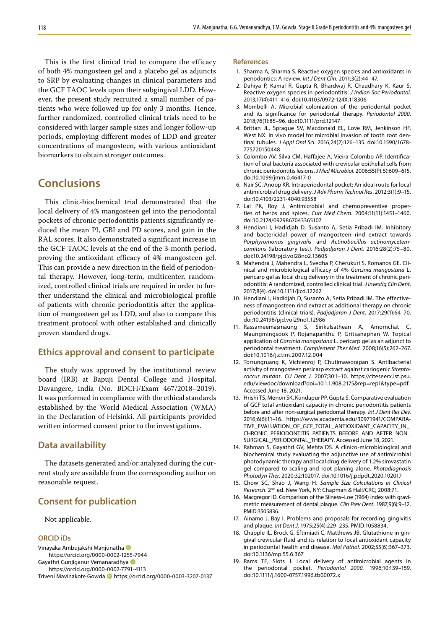This is the first clinical trial to compare the efficacy of both 4% mangosteen gel and a placebo gel as adjuncts to SRP by evaluating changes in clinical parameters and the GCF TAOC levels upon their subgingival LDD. However, the present study recruited a small number of patients who were followed up for only 3 months. Hence, further randomized, controlled clinical trials need to be considered with larger sample sizes and longer follow-up periods, employing different modes of LDD and greater concentrations of mangosteen, with various antioxidant biomarkers to obtain stronger outcomes.

# **Conclusions**

This clinic-biochemical trial demonstrated that the local delivery of 4% mangosteen gel into the periodontal pockets of chronic periodontitis patients significantly reduced the mean PI, GBI and PD scores, and gain in the RAL scores. It also demonstrated a significant increase in the GCF TAOC levels at the end of the 3-month period, proving the antioxidant efficacy of 4% mangosteen gel. This can provide a new direction in the field of periodontal therapy. However, long-term, multicenter, randomized, controlled clinical trials are required in order to further understand the clinical and microbiological profile of patients with chronic periodontitis after the application of mangosteen gel as LDD, and also to compare this treatment protocol with other established and clinically proven standard drugs.

### **Ethics approval and consent to participate**

The study was approved by the institutional review board (IRB) at Bapuji Dental College and Hospital, Davangere, India (No. BDCH/Exam 467/2018–2019). It was performed in compliance with the ethical standards established by the World Medical Association (WMA) in the Declaration of Helsinki. All participants provided written informed consent prior to the investigations.

# **Data availability**

The datasets generated and/or analyzed during the current study are available from the corresponding author on reasonable request.

# **Consent for publication**

Not applicable.

#### **ORCID iDs**

Vinayaka Ambujakshi Manjunatha https://orcid.org/0000-0002-1255-7944

Gayathri Gunijganur Vemanaradhya D

https://orcid.org/0000-0002-7791-4113

Triveni Mavinakote Gowda **I**https://orcid.org/0000-0003-3207-0137

#### **References**

- 1. Sharma A, Sharma S. Reactive oxygen species and antioxidants in periodontics: A review. *Int J Dent Clin*. 2011;3(2):44–47.
- 2. Dahiya P, Kamal R, Gupta R, Bhardwaj R, Chaudhary K, Kaur S. Reactive oxygen species in periodontitis. *J Indian Soc Periodontol*. 2013;17(4):411–416. doi:10.4103/0972-124X.118306
- 3. Mombelli A. Microbial colonization of the periodontal pocket and its significance for periodontal therapy. *Periodontol 2000*. 2018;76(1):85–96. doi:10.1111/prd.12147
- 4. Brittan JL, Sprague SV, Macdonald EL, Love RM, Jenkinson HF, West NX. In vivo model for microbial invasion of tooth root dentinal tubules. *J Appl Oral Sci*. 2016;24(2):126–135. doi:10.1590/1678- 775720150448
- 5. Colombo AV, Silva CM, Haffajee A, Vieira Colombo AP. Identification of oral bacteria associated with crevicular epithelial cells from chronic periodontitis lesions. *J Med Microbiol*. 2006;55(Pt 5):609–615. doi:10.1099/jmm.0.46417-0
- 6. Nair SC, Anoop KR. Intraperiodontal pocket: An ideal route for local antimicrobial drug delivery. *J Adv Pharm Technol Res*. 2012;3(1):9–15. doi:10.4103/2231-4040.93558
- 7. Lai PK, Roy J. Antimicrobial and chemopreventive properties of herbs and spices. *Curr Med Chem*. 2004;11(11):1451–1460. doi:10.2174/0929867043365107
- 8. Hendiani I, Hadidjah D, Susanto A, Setia Pribadi IM. Inhibitory and bactericidal power of mangosteen rind extract towards *Porphyromonas gingivalis* and *Actinobacillus actinomycetemcomitans* (laboratory test). *Padjadjaran J Dent*. 2016;28(2):75–80. doi:10.24198/pjd.vol28no2.13605
- 9. Mahendra J, Mahendra L, Svedha P, Cherukuri S, Romanos GE. Clinical and microbiological efficacy of 4% *Garcinia mangostana* L. pericarp gel as local drug delivery in the treatment of chronic periodontitis: A randomized, controlled clinical trial. *J Investig Clin Dent*. 2017;8(4). doi:10.1111/jicd.12262
- 10. Hendiani I, Hadidjah D, Susanto A, Setia Pribadi IM. The effectiveness of mangosteen rind extract as additional therapy on chronic periodontitis (clinical trials). *Padjadjaran J Dent*. 2017;29(1):64–70. doi:10.24198/pjd.vol29no1.12986
- 11. Rassameemasmaung S, Sirikulsathean A, Amornchat C, Maungmingsook P, Rojanapanthu P, Gritsanaphan W. Topical application of *Garcinia mangostana* L. pericarp gel as an adjunct to periodontal treatment. *Complement Ther Med*. 2008;16(5):262–267. doi:10.1016/j.ctim.2007.12.004
- 12. Torrungruang K, Vichienroj P, Chutimaworapan S. Antibacterial activity of mangosteen pericarp extract against cariogenic *Streptococcus mutans*. *CU Dent J*. 2007;30:1–10. [https://citeseerx.ist.psu.](https://citeseerx.ist.psu.edu/viewdoc/download?doi=10.1.1.908.2175&rep=rep1&type=pdf) [edu/viewdoc/download?doi=10.1.1.908.2175&rep=rep1&type=pdf](https://citeseerx.ist.psu.edu/viewdoc/download?doi=10.1.1.908.2175&rep=rep1&type=pdf). Accessed June 18, 2021.
- 13. Hrishi TS, Menon SK, Kundapur PP, Gupta S. Comparative evaluation of GCF total antioxidant capacity in chronic periodontitis patients before and after non-surgical periodontal therapy. *Int J Dent Res Dev*. 2016;6(6):11–16. [https://www.academia.edu/30971941/COMPARA-](https://www.academia.edu/30971941/COMPARATIVE_EVALUATION_OF_GCF_TOTAL_ANTIOXIDANT_CAPACITY_IN_CHRONIC_PERIODONTITIS_PATIENTS_BEFORE_AND_AFTER_NON_SURGICAL_PERIODONTAL_THERAPY)[TIVE\\_EVALUATION\\_OF\\_GCF\\_TOTAL\\_ANTIOXIDANT\\_CAPACITY\\_IN\\_](https://www.academia.edu/30971941/COMPARATIVE_EVALUATION_OF_GCF_TOTAL_ANTIOXIDANT_CAPACITY_IN_CHRONIC_PERIODONTITIS_PATIENTS_BEFORE_AND_AFTER_NON_SURGICAL_PERIODONTAL_THERAPY) [CHRONIC\\_PERIODONTITIS\\_PATIENTS\\_BEFORE\\_AND\\_AFTER\\_NON\\_](https://www.academia.edu/30971941/COMPARATIVE_EVALUATION_OF_GCF_TOTAL_ANTIOXIDANT_CAPACITY_IN_CHRONIC_PERIODONTITIS_PATIENTS_BEFORE_AND_AFTER_NON_SURGICAL_PERIODONTAL_THERAPY) [SURGICAL\\_PERIODONTAL\\_THERAPY.](https://www.academia.edu/30971941/COMPARATIVE_EVALUATION_OF_GCF_TOTAL_ANTIOXIDANT_CAPACITY_IN_CHRONIC_PERIODONTITIS_PATIENTS_BEFORE_AND_AFTER_NON_SURGICAL_PERIODONTAL_THERAPY) Accessed June 18, 2021.
- 14. Rahman S, Gayathri GV, Mehta DS. A clinico-microbiological and biochemical study evaluating the adjunctive use of antimicrobial photodynamic therapy and local drug delivery of 1.2% simvastatin gel compared to scaling and root planing alone. *Photodiagnosis Photodyn Ther*. 2020;32:102017. doi:10.1016/j.pdpdt.2020.102017
- 15. Chow SC, Shao J, Wang H. *Sample Size Calculations in Clinical Research*. 2nd ed. New York, NY: Chapman & Hall/CRC; 2008:71.
- 16. Macgregor ID. Comparison of the Silness–Loe (1964) index with gravimetric measurement of dental plaque. *Clin Prev Dent*. 1987;9(6):9–12. PMID:3505836.
- 17. Ainamo J, Bay I. Problems and proposals for recording gingivitis and plaque. *Int Dent J*. 1975;25(4):229–235. PMID:1058834.
- 18. Chapple IL, Brock G, Eftimiadi C, Matthews JB. Glutathione in gingival crevicular fluid and its relation to local antioxidant capacity in periodontal health and disease. *Mol Pathol*. 2002;55(6):367–373. doi:10.1136/mp.55.6.367
- 19. Rams TE, Slots J. Local delivery of antimicrobial agents in the periodontal pocket. *Periodontol 2000*. 1996;10:139–159. doi:10.1111/j.1600-0757.1996.tb00072.x